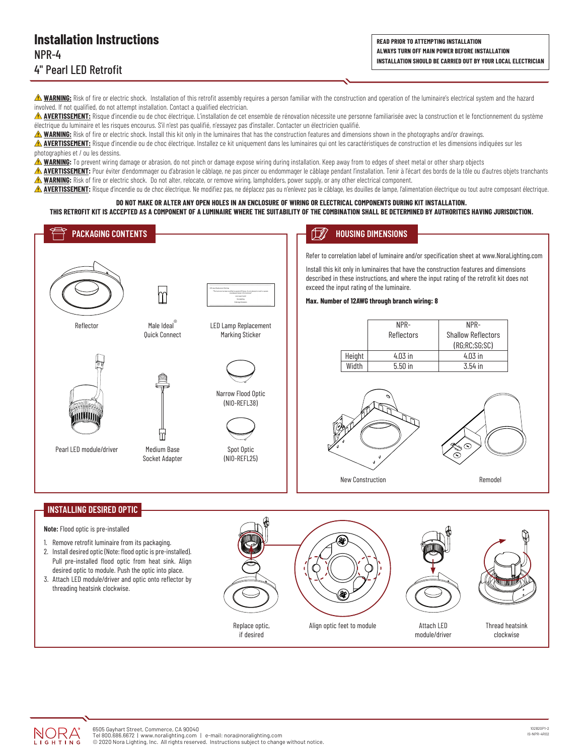**READ PRIOR TO ATTEMPTING INSTALLATION ALWAYS TURN OFF MAIN POWER BEFORE INSTALLATION INSTALLATION SHOULD BE CARRIED OUT BY YOUR LOCAL ELECTRICIAN**

**A WARNING:** Risk of fire or electric shock. Installation of this retrofit assembly requires a person familiar with the construction and operation of the luminaire's electrical system and the hazard involved. If not qualified, do not attempt installation. Contact a qualified electrician.

**AVERTISSEMENT:** Risque d'incendie ou de choc électrique. L'installation de cet ensemble de rénovation nécessite une personne familiarisée avec la construction et le fonctionnement du système électrique du luminaire et les risques encourus. S'il n'est pas qualifié, n'essayez pas d'installer. Contacter un électricien qualifié.

**A WARNING:** Risk of fire or electric shock. Install this kit only in the luminaires that has the construction features and dimensions shown in the photographs and/or drawings.

**AVERTISSEMENT:** Risque d'incendie ou de choc électrique. Installez ce kit uniquement dans les luminaires qui ont les caractéristiques de construction et les dimensions indiquées sur les photographies et / ou les dessins.

**A WARNING:** To prevent wiring damage or abrasion, do not pinch or damage expose wiring during installation. Keep away from to edges of sheet metal or other sharp objects

**AVERTISSEMENT:** Pour éviter d'endommager ou d'abrasion le câblage, ne pas pincer ou endommager le câblage pendant l'installation. Tenir à l'écart des bords de la tôle ou d'autres objets tranchants **WARNING:** Risk of fire or electric shock. Do not alter, relocate, or remove wiring, lampholders, power supply, or any other electrical component.

**AVERTISSEMENT:** Risque d'incendie ou de choc électrique. Ne modifiez pas, ne déplacez pas ou n'enlevez pas le câblage, les douilles de lampe, l'alimentation électrique ou tout autre composant électrique.

#### **DO NOT MAKE OR ALTER ANY OPEN HOLES IN AN ENCLOSURE OF WIRING OR ELECTRICAL COMPONENTS DURING KIT INSTALLATION. THIS RETROFIT KIT IS ACCEPTED AS A COMPONENT OF A LUMINAIRE WHERE THE SUITABILITY OF THE COMBINATION SHALL BE DETERMINED BY AUTHORITIES HAVING JURISDICTION.**





threading heatsink clockwise.

Replace optic, if desired

clockwise

Attach I FD module/driver

Align optic feet to module **Thread heatsink** Attach LED **Thread heatsink**